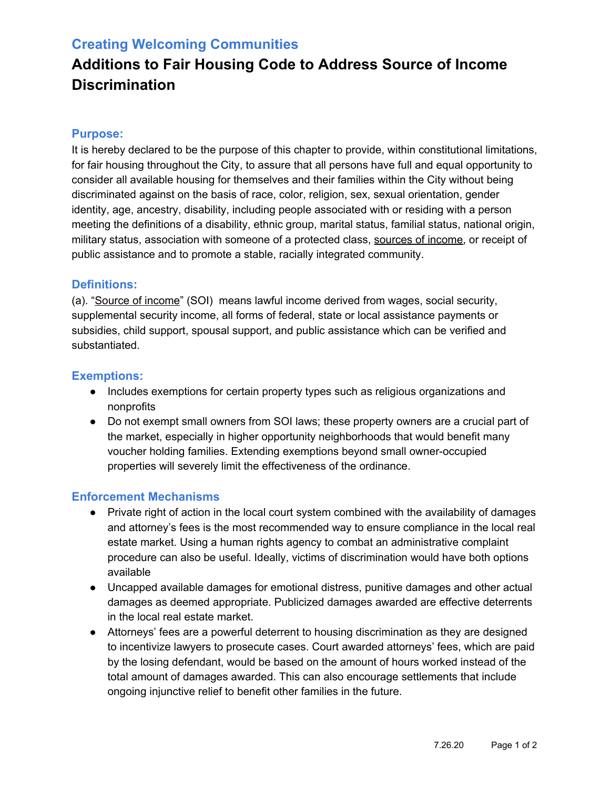## **Creating Welcoming Communities**

# **Additions to Fair Housing Code to Address Source of Income Discrimination**

#### **Purpose:**

It is hereby declared to be the purpose of this chapter to provide, within constitutional limitations, for fair housing throughout the City, to assure that all persons have full and equal opportunity to consider all available housing for themselves and their families within the City without being discriminated against on the basis of race, color, religion, sex, sexual orientation, gender identity, age, ancestry, disability, including people associated with or residing with a person meeting the definitions of a disability, ethnic group, marital status, familial status, national origin, military status, association with someone of a protected class, sources of income, or receipt of public assistance and to promote a stable, racially integrated community.

#### **Definitions:**

(a). "Source of income" (SOI) means lawful income derived from wages, social security, supplemental security income, all forms of federal, state or local assistance payments or subsidies, child support, spousal support, and public assistance which can be verified and substantiated.

#### **Exemptions:**

- Includes exemptions for certain property types such as religious organizations and nonprofits
- Do not exempt small owners from SOI laws; these property owners are a crucial part of the market, especially in higher opportunity neighborhoods that would benefit many voucher holding families. Extending exemptions beyond small owner-occupied properties will severely limit the effectiveness of the ordinance.

### **Enforcement Mechanisms**

- Private right of action in the local court system combined with the availability of damages and attorney's fees is the most recommended way to ensure compliance in the local real estate market. Using a human rights agency to combat an administrative complaint procedure can also be useful. Ideally, victims of discrimination would have both options available
- Uncapped available damages for emotional distress, punitive damages and other actual damages as deemed appropriate. Publicized damages awarded are effective deterrents in the local real estate market.
- Attorneys' fees are a powerful deterrent to housing discrimination as they are designed to incentivize lawyers to prosecute cases. Court awarded attorneys' fees, which are paid by the losing defendant, would be based on the amount of hours worked instead of the total amount of damages awarded. This can also encourage settlements that include ongoing injunctive relief to benefit other families in the future.